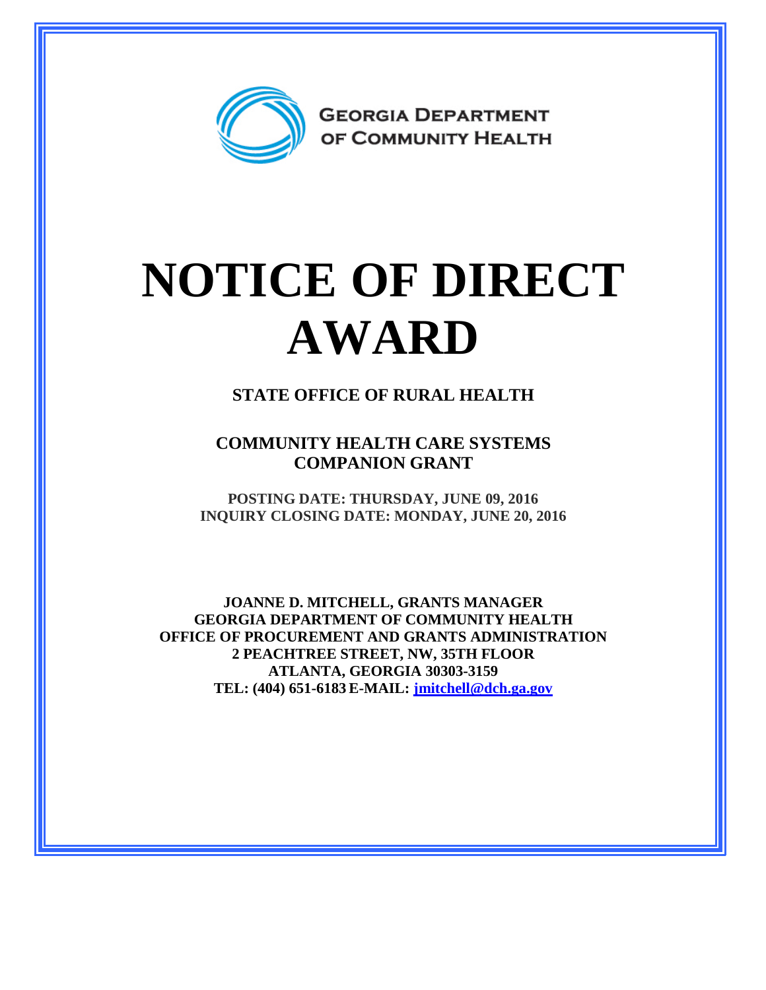

## **NOTICE OF DIRECT AWARD**

**STATE OFFICE OF RURAL HEALTH**

**COMMUNITY HEALTH CARE SYSTEMS COMPANION GRANT**

**POSTING DATE: THURSDAY, JUNE 09, 2016 INQUIRY CLOSING DATE: MONDAY, JUNE 20, 2016**

**JOANNE D. MITCHELL, GRANTS MANAGER GEORGIA DEPARTMENT OF COMMUNITY HEALTH OFFICE OF PROCUREMENT AND GRANTS ADMINISTRATION 2 PEACHTREE STREET, NW, 35TH FLOOR ATLANTA, GEORGIA 30303-3159 TEL: (404) 651-6183 E-MAIL: [jmitchell@dch.ga.gov](mailto:awatson@dch.ga.gov)**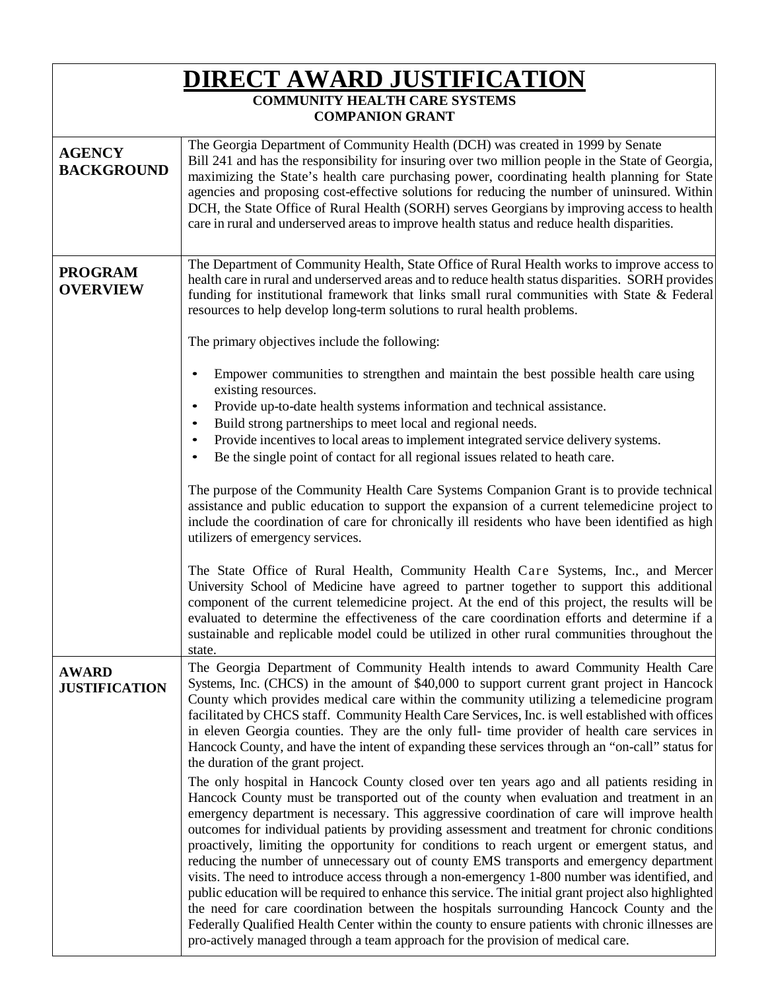| <u>DIRECT AWARD JUSTIFICATION</u><br><b>COMMUNITY HEALTH CARE SYSTEMS</b><br><b>COMPANION GRANT</b> |                                                                                                                                                                                                                                                                                                                                                                                                                                                                                                                                                                                                                                                                                                                                                                                                                                                                                                                                                                                                                                                                                 |
|-----------------------------------------------------------------------------------------------------|---------------------------------------------------------------------------------------------------------------------------------------------------------------------------------------------------------------------------------------------------------------------------------------------------------------------------------------------------------------------------------------------------------------------------------------------------------------------------------------------------------------------------------------------------------------------------------------------------------------------------------------------------------------------------------------------------------------------------------------------------------------------------------------------------------------------------------------------------------------------------------------------------------------------------------------------------------------------------------------------------------------------------------------------------------------------------------|
| <b>AGENCY</b><br><b>BACKGROUND</b>                                                                  | The Georgia Department of Community Health (DCH) was created in 1999 by Senate<br>Bill 241 and has the responsibility for insuring over two million people in the State of Georgia,<br>maximizing the State's health care purchasing power, coordinating health planning for State<br>agencies and proposing cost-effective solutions for reducing the number of uninsured. Within<br>DCH, the State Office of Rural Health (SORH) serves Georgians by improving access to health<br>care in rural and underserved areas to improve health status and reduce health disparities.                                                                                                                                                                                                                                                                                                                                                                                                                                                                                                |
| <b>PROGRAM</b><br><b>OVERVIEW</b>                                                                   | The Department of Community Health, State Office of Rural Health works to improve access to<br>health care in rural and underserved areas and to reduce health status disparities. SORH provides<br>funding for institutional framework that links small rural communities with State & Federal<br>resources to help develop long-term solutions to rural health problems.                                                                                                                                                                                                                                                                                                                                                                                                                                                                                                                                                                                                                                                                                                      |
|                                                                                                     | The primary objectives include the following:                                                                                                                                                                                                                                                                                                                                                                                                                                                                                                                                                                                                                                                                                                                                                                                                                                                                                                                                                                                                                                   |
|                                                                                                     | Empower communities to strengthen and maintain the best possible health care using<br>existing resources.<br>Provide up-to-date health systems information and technical assistance.<br>$\bullet$<br>Build strong partnerships to meet local and regional needs.<br>٠                                                                                                                                                                                                                                                                                                                                                                                                                                                                                                                                                                                                                                                                                                                                                                                                           |
|                                                                                                     | Provide incentives to local areas to implement integrated service delivery systems.<br>$\bullet$<br>Be the single point of contact for all regional issues related to heath care.                                                                                                                                                                                                                                                                                                                                                                                                                                                                                                                                                                                                                                                                                                                                                                                                                                                                                               |
|                                                                                                     | The purpose of the Community Health Care Systems Companion Grant is to provide technical<br>assistance and public education to support the expansion of a current telemedicine project to<br>include the coordination of care for chronically ill residents who have been identified as high<br>utilizers of emergency services.                                                                                                                                                                                                                                                                                                                                                                                                                                                                                                                                                                                                                                                                                                                                                |
|                                                                                                     | The State Office of Rural Health, Community Health Care Systems, Inc., and Mercer<br>University School of Medicine have agreed to partner together to support this additional<br>component of the current telemedicine project. At the end of this project, the results will be<br>evaluated to determine the effectiveness of the care coordination efforts and determine if a<br>sustainable and replicable model could be utilized in other rural communities throughout the<br>state.                                                                                                                                                                                                                                                                                                                                                                                                                                                                                                                                                                                       |
| <b>AWARD</b><br><b>JUSTIFICATION</b>                                                                | The Georgia Department of Community Health intends to award Community Health Care<br>Systems, Inc. (CHCS) in the amount of \$40,000 to support current grant project in Hancock<br>County which provides medical care within the community utilizing a telemedicine program<br>facilitated by CHCS staff. Community Health Care Services, Inc. is well established with offices<br>in eleven Georgia counties. They are the only full- time provider of health care services in<br>Hancock County, and have the intent of expanding these services through an "on-call" status for<br>the duration of the grant project.                                                                                                                                                                                                                                                                                                                                                                                                                                                        |
|                                                                                                     | The only hospital in Hancock County closed over ten years ago and all patients residing in<br>Hancock County must be transported out of the county when evaluation and treatment in an<br>emergency department is necessary. This aggressive coordination of care will improve health<br>outcomes for individual patients by providing assessment and treatment for chronic conditions<br>proactively, limiting the opportunity for conditions to reach urgent or emergent status, and<br>reducing the number of unnecessary out of county EMS transports and emergency department<br>visits. The need to introduce access through a non-emergency 1-800 number was identified, and<br>public education will be required to enhance this service. The initial grant project also highlighted<br>the need for care coordination between the hospitals surrounding Hancock County and the<br>Federally Qualified Health Center within the county to ensure patients with chronic illnesses are<br>pro-actively managed through a team approach for the provision of medical care. |